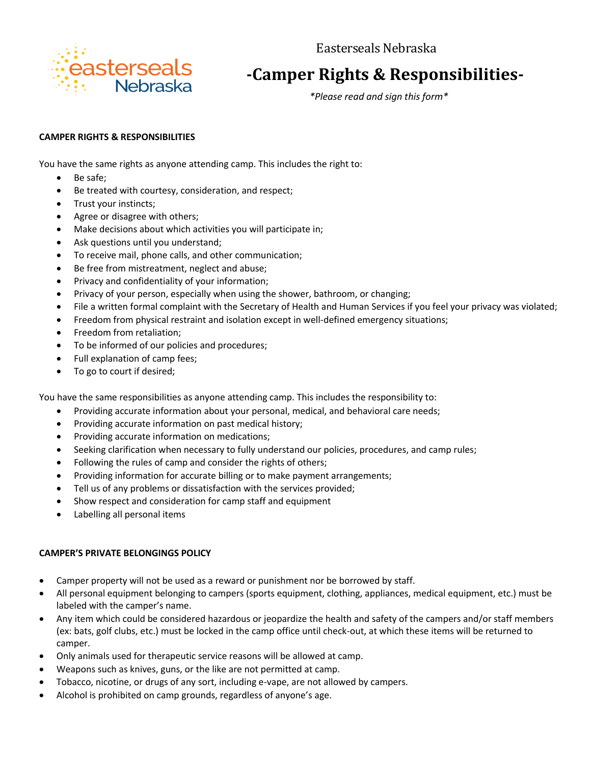Easterseals Nebraska



## **-Camper Rights & Responsibilities-**

*\*Please read and sign this form\**

## **CAMPER RIGHTS & RESPONSIBILITIES**

You have the same rights as anyone attending camp. This includes the right to:

- Be safe:
- Be treated with courtesy, consideration, and respect;
- Trust your instincts;
- Agree or disagree with others;
- Make decisions about which activities you will participate in;
- Ask questions until you understand;
- To receive mail, phone calls, and other communication;
- Be free from mistreatment, neglect and abuse;
- Privacy and confidentiality of your information;
- Privacy of your person, especially when using the shower, bathroom, or changing;
- File a written formal complaint with the Secretary of Health and Human Services if you feel your privacy was violated;
- Freedom from physical restraint and isolation except in well-defined emergency situations;
- Freedom from retaliation;
- To be informed of our policies and procedures;
- Full explanation of camp fees;
- To go to court if desired;

You have the same responsibilities as anyone attending camp. This includes the responsibility to:

- Providing accurate information about your personal, medical, and behavioral care needs;
- Providing accurate information on past medical history;
- Providing accurate information on medications;
- Seeking clarification when necessary to fully understand our policies, procedures, and camp rules;
- Following the rules of camp and consider the rights of others;
- Providing information for accurate billing or to make payment arrangements;
- Tell us of any problems or dissatisfaction with the services provided;
- Show respect and consideration for camp staff and equipment
- Labelling all personal items

## **CAMPER'S PRIVATE BELONGINGS POLICY**

- Camper property will not be used as a reward or punishment nor be borrowed by staff.
- All personal equipment belonging to campers (sports equipment, clothing, appliances, medical equipment, etc.) must be labeled with the camper's name.
- Any item which could be considered hazardous or jeopardize the health and safety of the campers and/or staff members (ex: bats, golf clubs, etc.) must be locked in the camp office until check-out, at which these items will be returned to camper.
- Only animals used for therapeutic service reasons will be allowed at camp.
- Weapons such as knives, guns, or the like are not permitted at camp.
- Tobacco, nicotine, or drugs of any sort, including e-vape, are not allowed by campers.
- Alcohol is prohibited on camp grounds, regardless of anyone's age.